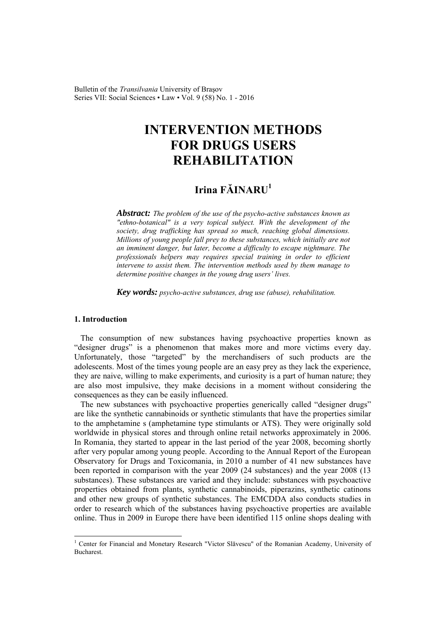Bulletin of the *Transilvania* University of Braşov Series VII: Social Sciences • Law • Vol. 9 (58) No. 1 - 2016

# **INTERVENTION METHODS FOR DRUGS USERS REHABILITATION**

# **Irina FĂINARU<sup>1</sup>**

*Abstract: The problem of the use of the psycho-active substances known as "ethno-botanical" is a very topical subject. With the development of the society, drug trafficking has spread so much, reaching global dimensions. Millions of young people fall prey to these substances, which initially are not an imminent danger, but later, become a difficulty to escape nightmare. The professionals helpers may requires special training in order to efficient intervene to assist them. The intervention methods used by them manage to determine positive changes in the young drug users' lives.* 

*Key words: psycho-active substances, drug use (abuse), rehabilitation.*

### **1. Introduction**

 $\overline{a}$ 

The consumption of new substances having psychoactive properties known as "designer drugs" is a phenomenon that makes more and more victims every day. Unfortunately, those "targeted" by the merchandisers of such products are the adolescents. Most of the times young people are an easy prey as they lack the experience, they are naive, willing to make experiments, and curiosity is a part of human nature; they are also most impulsive, they make decisions in a moment without considering the consequences as they can be easily influenced.

The new substances with psychoactive properties generically called "designer drugs" are like the synthetic cannabinoids or synthetic stimulants that have the properties similar to the amphetamine s (amphetamine type stimulants or ATS). They were originally sold worldwide in physical stores and through online retail networks approximately in 2006. In Romania, they started to appear in the last period of the year 2008, becoming shortly after very popular among young people. According to the Annual Report of the European Observatory for Drugs and Toxicomania, in 2010 a number of 41 new substances have been reported in comparison with the year 2009 (24 substances) and the year 2008 (13 substances). These substances are varied and they include: substances with psychoactive properties obtained from plants, synthetic cannabinoids, piperazins, synthetic catinons and other new groups of synthetic substances. The EMCDDA also conducts studies in order to research which of the substances having psychoactive properties are available online. Thus in 2009 in Europe there have been identified 115 online shops dealing with

<sup>&</sup>lt;sup>1</sup> Center for Financial and Monetary Research "Victor Slăvescu" of the Romanian Academy, University of **Bucharest**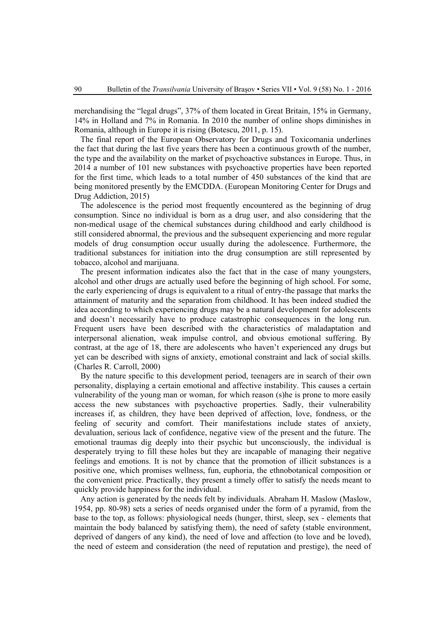merchandising the "legal drugs", 37% of them located in Great Britain, 15% in Germany, 14% in Holland and 7% in Romania. In 2010 the number of online shops diminishes in Romania, although in Europe it is rising (Botescu, 2011, p. 15).

The final report of the European Observatory for Drugs and Toxicomania underlines the fact that during the last five years there has been a continuous growth of the number, the type and the availability on the market of psychoactive substances in Europe. Thus, in 2014 a number of 101 new substances with psychoactive properties have been reported for the first time, which leads to a total number of 450 substances of the kind that are being monitored presently by the EMCDDA. (European Monitoring Center for Drugs and Drug Addiction, 2015)

The adolescence is the period most frequently encountered as the beginning of drug consumption. Since no individual is born as a drug user, and also considering that the non-medical usage of the chemical substances during childhood and early childhood is still considered abnormal, the previous and the subsequent experiencing and more regular models of drug consumption occur usually during the adolescence. Furthermore, the traditional substances for initiation into the drug consumption are still represented by tobacco, alcohol and marijuana.

The present information indicates also the fact that in the case of many youngsters, alcohol and other drugs are actually used before the beginning of high school. For some, the early experiencing of drugs is equivalent to a ritual of entry-the passage that marks the attainment of maturity and the separation from childhood. It has been indeed studied the idea according to which experiencing drugs may be a natural development for adolescents and doesn't necessarily have to produce catastrophic consequences in the long run. Frequent users have been described with the characteristics of maladaptation and interpersonal alienation, weak impulse control, and obvious emotional suffering. By contrast, at the age of 18, there are adolescents who haven't experienced any drugs but yet can be described with signs of anxiety, emotional constraint and lack of social skills. (Charles R. Carroll, 2000)

By the nature specific to this development period, teenagers are in search of their own personality, displaying a certain emotional and affective instability. This causes a certain vulnerability of the young man or woman, for which reason (s)he is prone to more easily access the new substances with psychoactive properties. Sadly, their vulnerability increases if, as children, they have been deprived of affection, love, fondness, or the feeling of security and comfort. Their manifestations include states of anxiety, devaluation, serious lack of confidence, negative view of the present and the future. The emotional traumas dig deeply into their psychic but unconsciously, the individual is desperately trying to fill these holes but they are incapable of managing their negative feelings and emotions. It is not by chance that the promotion of illicit substances is a positive one, which promises wellness, fun, euphoria, the ethnobotanical composition or the convenient price. Practically, they present a timely offer to satisfy the needs meant to quickly provide happiness for the individual.

Any action is generated by the needs felt by individuals. Abraham H. Maslow (Maslow, 1954, pp. 80-98) sets a series of needs organised under the form of a pyramid, from the base to the top, as follows: physiological needs (hunger, thirst, sleep, sex - elements that maintain the body balanced by satisfying them), the need of safety (stable environment, deprived of dangers of any kind), the need of love and affection (to love and be loved), the need of esteem and consideration (the need of reputation and prestige), the need of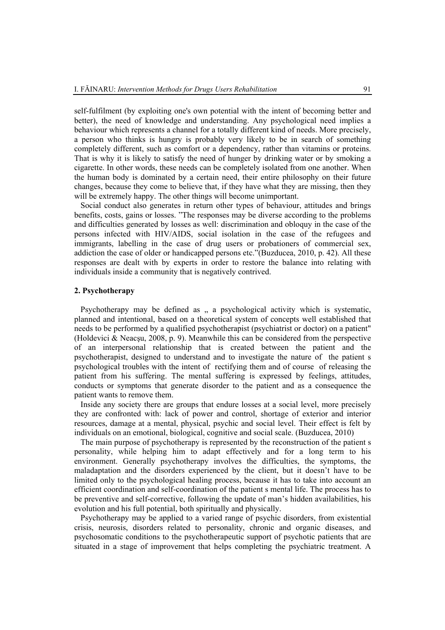self-fulfilment (by exploiting one's own potential with the intent of becoming better and better), the need of knowledge and understanding. Any psychological need implies a behaviour which represents a channel for a totally different kind of needs. More precisely, a person who thinks is hungry is probably very likely to be in search of something completely different, such as comfort or a dependency, rather than vitamins or proteins. That is why it is likely to satisfy the need of hunger by drinking water or by smoking a cigarette. In other words, these needs can be completely isolated from one another. When the human body is dominated by a certain need, their entire philosophy on their future changes, because they come to believe that, if they have what they are missing, then they will be extremely happy. The other things will become unimportant.

Social conduct also generates in return other types of behaviour, attitudes and brings benefits, costs, gains or losses. "The responses may be diverse according to the problems and difficulties generated by losses as well: discrimination and obloquy in the case of the persons infected with HIV/AIDS, social isolation in the case of the refugees and immigrants, labelling in the case of drug users or probationers of commercial sex, addiction the case of older or handicapped persons etc."(Buzducea, 2010, p. 42). All these responses are dealt with by experts in order to restore the balance into relating with individuals inside a community that is negatively contrived.

# **2. Psychotherapy**

Psychotherapy may be defined as  $\alpha$ , a psychological activity which is systematic, planned and intentional, based on a theoretical system of concepts well established that needs to be performed by a qualified psychotherapist (psychiatrist or doctor) on a patient" (Holdevici & Neacsu, 2008, p. 9). Meanwhile this can be considered from the perspective of an interpersonal relationship that is created between the patient and the psychotherapist, designed to understand and to investigate the nature of the patient s psychological troubles with the intent of rectifying them and of course of releasing the patient from his suffering. The mental suffering is expressed by feelings, attitudes, conducts or symptoms that generate disorder to the patient and as a consequence the patient wants to remove them.

Inside any society there are groups that endure losses at a social level, more precisely they are confronted with: lack of power and control, shortage of exterior and interior resources, damage at a mental, physical, psychic and social level. Their effect is felt by individuals on an emotional, biological, cognitive and social scale. (Buzducea, 2010)

The main purpose of psychotherapy is represented by the reconstruction of the patient s personality, while helping him to adapt effectively and for a long term to his environment. Generally psychotherapy involves the difficulties, the symptoms, the maladaptation and the disorders experienced by the client, but it doesn't have to be limited only to the psychological healing process, because it has to take into account an efficient coordination and self-coordination of the patient s mental life. The process has to be preventive and self-corrective, following the update of man's hidden availabilities, his evolution and his full potential, both spiritually and physically.

Psychotherapy may be applied to a varied range of psychic disorders, from existential crisis, neurosis, disorders related to personality, chronic and organic diseases, and psychosomatic conditions to the psychotherapeutic support of psychotic patients that are situated in a stage of improvement that helps completing the psychiatric treatment. A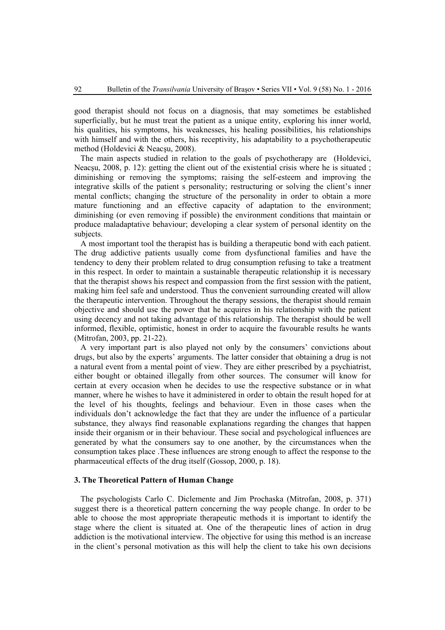good therapist should not focus on a diagnosis, that may sometimes be established superficially, but he must treat the patient as a unique entity, exploring his inner world, his qualities, his symptoms, his weaknesses, his healing possibilities, his relationships with himself and with the others, his receptivity, his adaptability to a psychotherapeutic method (Holdevici & Neacşu, 2008).

The main aspects studied in relation to the goals of psychotherapy are (Holdevici, Neacsu, 2008, p. 12): getting the client out of the existential crisis where he is situated ; diminishing or removing the symptoms; raising the self-esteem and improving the integrative skills of the patient s personality; restructuring or solving the client's inner mental conflicts; changing the structure of the personality in order to obtain a more mature functioning and an effective capacity of adaptation to the environment; diminishing (or even removing if possible) the environment conditions that maintain or produce maladaptative behaviour; developing a clear system of personal identity on the subjects.

A most important tool the therapist has is building a therapeutic bond with each patient. The drug addictive patients usually come from dysfunctional families and have the tendency to deny their problem related to drug consumption refusing to take a treatment in this respect. In order to maintain a sustainable therapeutic relationship it is necessary that the therapist shows his respect and compassion from the first session with the patient, making him feel safe and understood. Thus the convenient surrounding created will allow the therapeutic intervention. Throughout the therapy sessions, the therapist should remain objective and should use the power that he acquires in his relationship with the patient using decency and not taking advantage of this relationship. The therapist should be well informed, flexible, optimistic, honest in order to acquire the favourable results he wants (Mitrofan, 2003, pp. 21-22).

A very important part is also played not only by the consumers' convictions about drugs, but also by the experts' arguments. The latter consider that obtaining a drug is not a natural event from a mental point of view. They are either prescribed by a psychiatrist, either bought or obtained illegally from other sources. The consumer will know for certain at every occasion when he decides to use the respective substance or in what manner, where he wishes to have it administered in order to obtain the result hoped for at the level of his thoughts, feelings and behaviour. Even in those cases when the individuals don't acknowledge the fact that they are under the influence of a particular substance, they always find reasonable explanations regarding the changes that happen inside their organism or in their behaviour. These social and psychological influences are generated by what the consumers say to one another, by the circumstances when the consumption takes place .These influences are strong enough to affect the response to the pharmaceutical effects of the drug itself (Gossop, 2000, p. 18).

#### **3. The Theoretical Pattern of Human Change**

The psychologists Carlo C. Diclemente and Jim Prochaska (Mitrofan, 2008, p. 371) suggest there is a theoretical pattern concerning the way people change. In order to be able to choose the most appropriate therapeutic methods it is important to identify the stage where the client is situated at. One of the therapeutic lines of action in drug addiction is the motivational interview. The objective for using this method is an increase in the client's personal motivation as this will help the client to take his own decisions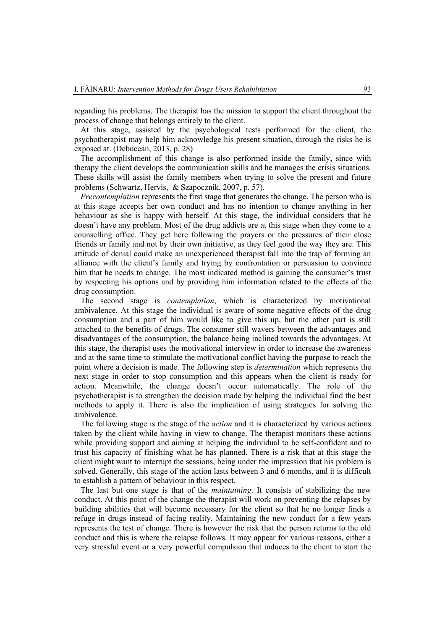regarding his problems. The therapist has the mission to support the client throughout the process of change that belongs entirely to the client.

At this stage, assisted by the psychological tests performed for the client, the psychotherapist may help him acknowledge his present situation, through the risks he is exposed at. (Debucean, 2013, p. 28)

The accomplishment of this change is also performed inside the family, since with therapy the client develops the communication skills and he manages the crisis situations. These skills will assist the family members when trying to solve the present and future problems (Schwartz, Hervis, & Szapocznik, 2007, p. 57).

*Precontemplation* represents the first stage that generates the change. The person who is at this stage accepts her own conduct and has no intention to change anything in her behaviour as she is happy with herself. At this stage, the individual considers that he doesn't have any problem. Most of the drug addicts are at this stage when they come to a counselling office. They get here following the prayers or the pressures of their close friends or family and not by their own initiative, as they feel good the way they are. This attitude of denial could make an unexperienced therapist fall into the trap of forming an alliance with the client's family and trying by confrontation or persuasion to convince him that he needs to change. The most indicated method is gaining the consumer's trust by respecting his options and by providing him information related to the effects of the drug consumption.

The second stage is *contemplation*, which is characterized by motivational ambivalence. At this stage the individual is aware of some negative effects of the drug consumption and a part of him would like to give this up, but the other part is still attached to the benefits of drugs. The consumer still wavers between the advantages and disadvantages of the consumption, the balance being inclined towards the advantages. At this stage, the therapist uses the motivational interview in order to increase the awareness and at the same time to stimulate the motivational conflict having the purpose to reach the point where a decision is made. The following step is *determination* which represents the next stage in order to stop consumption and this appears when the client is ready for action. Meanwhile, the change doesn't occur automatically. The role of the psychotherapist is to strengthen the decision made by helping the individual find the best methods to apply it. There is also the implication of using strategies for solving the ambivalence.

The following stage is the stage of the *action* and it is characterized by various actions taken by the client while having in view to change. The therapist monitors these actions while providing support and aiming at helping the individual to be self-confident and to trust his capacity of finishing what he has planned. There is a risk that at this stage the client might want to interrupt the sessions, being under the impression that his problem is solved. Generally, this stage of the action lasts between 3 and 6 months, and it is difficult to establish a pattern of behaviour in this respect.

The last but one stage is that of the *maintaining*. It consists of stabilizing the new conduct. At this point of the change the therapist will work on preventing the relapses by building abilities that will become necessary for the client so that he no longer finds a refuge in drugs instead of facing reality. Maintaining the new conduct for a few years represents the test of change. There is however the risk that the person returns to the old conduct and this is where the relapse follows. It may appear for various reasons, either a very stressful event or a very powerful compulsion that induces to the client to start the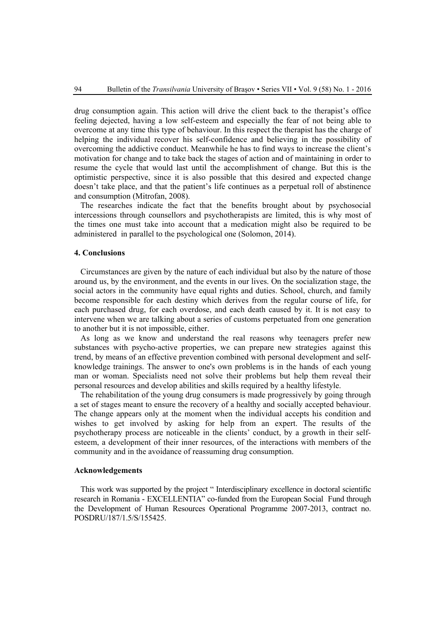drug consumption again. This action will drive the client back to the therapist's office feeling dejected, having a low self-esteem and especially the fear of not being able to overcome at any time this type of behaviour. In this respect the therapist has the charge of helping the individual recover his self-confidence and believing in the possibility of overcoming the addictive conduct. Meanwhile he has to find ways to increase the client's motivation for change and to take back the stages of action and of maintaining in order to resume the cycle that would last until the accomplishment of change. But this is the optimistic perspective, since it is also possible that this desired and expected change doesn't take place, and that the patient's life continues as a perpetual roll of abstinence and consumption (Mitrofan, 2008).

The researches indicate the fact that the benefits brought about by psychosocial intercessions through counsellors and psychotherapists are limited, this is why most of the times one must take into account that a medication might also be required to be administered in parallel to the psychological one (Solomon, 2014).

#### **4. Conclusions**

Circumstances are given by the nature of each individual but also by the nature of those around us, by the environment, and the events in our lives. On the socialization stage, the social actors in the community have equal rights and duties. School, church, and family become responsible for each destiny which derives from the regular course of life, for each purchased drug, for each overdose, and each death caused by it. It is not easy to intervene when we are talking about a series of customs perpetuated from one generation to another but it is not impossible, either.

As long as we know and understand the real reasons why teenagers prefer new substances with psycho-active properties, we can prepare new strategies against this trend, by means of an effective prevention combined with personal development and selfknowledge trainings. The answer to one's own problems is in the hands of each young man or woman. Specialists need not solve their problems but help them reveal their personal resources and develop abilities and skills required by a healthy lifestyle.

The rehabilitation of the young drug consumers is made progressively by going through a set of stages meant to ensure the recovery of a healthy and socially accepted behaviour. The change appears only at the moment when the individual accepts his condition and wishes to get involved by asking for help from an expert. The results of the psychotherapy process are noticeable in the clients' conduct, by a growth in their selfesteem, a development of their inner resources, of the interactions with members of the community and in the avoidance of reassuming drug consumption.

## **Acknowledgements**

This work was supported by the project " Interdisciplinary excellence in doctoral scientific research in Romania - EXCELLENTIA" co-funded from the European Social Fund through the Development of Human Resources Operational Programme 2007-2013, contract no. POSDRU/187/1.5/S/155425.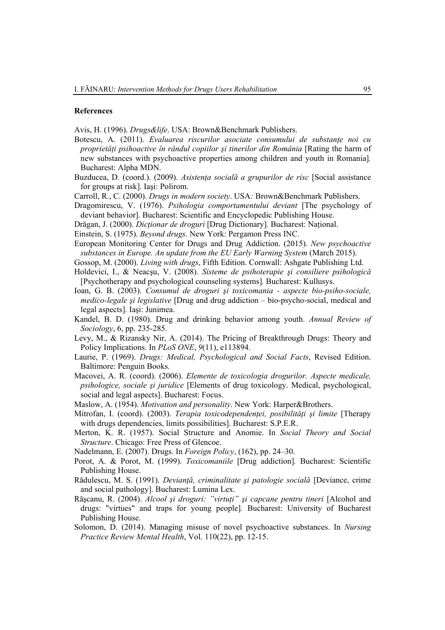#### **References**

Avis, H. (1996). *Drugs&life*. USA: Brown&Benchmark Publishers.

- Botescu, A. (2011). *Evaluarea riscurilor asociate consumului de substanţe noi cu proprietăţi psihoactive în rândul copiilor şi tinerilor din România* [Rating the harm of new substances with psychoactive properties among children and youth in Romania]*.* Bucharest: Alpha MDN.
- Buzducea, D. (coord.). (2009). *Asistenţa socială a grupurilor de risc* [Social assistance for groups at risk]. Iaşi: Polirom.
- Carroll, R., C. (2000). *Drugs in modern society*. USA*:* Brown&Benchmark Publishers.
- Dragomirescu, V. (1976). *Psihologia comportamentului deviant* [The psychology of deviant behavior]. Bucharest: Scientific and Encyclopedic Publishing House.
- Drăgan, J. (2000). *Dicţionar de droguri* [Drug Dictionary]*.* Bucharest: Naţional.
- Einstein, S. (1975). *Beyond drugs*. New York: Pergamon Press INC.
- European Monitoring Center for Drugs and Drug Addiction. (2015). *New psychoactive substances in Europe. An update from the EU Early Warning System* (March 2015).
- Gossop, M. (2000). *Living with drugs*, Fifth Edition. Cornwall: Ashgate Publishing Ltd.
- Holdevici, I., & Neacşu, V. (2008). *Sisteme de psihoterapie şi consiliere psihologică* [Psychotherapy and psychological counseling systems]*.* Bucharest: Kullusys.
- Ioan, G. B. (2003). *Consumul de droguri şi toxicomania aspecte bio-psiho-sociale, medico-legale şi legislative* [Drug and drug addiction – bio-psycho-social, medical and legal aspects]. Iaşi: Junimea.
- Kandel, B. D. (1980). Drug and drinking behavior among youth. *Annual Review of Sociology*, 6, pp. 235-285.
- Levy, M., & Rizansky Nir, A. (2014). The Pricing of Breakthrough Drugs: Theory and Policy Implications. In *PLoS ONE*, *9*(11), e113894.
- Laurie, P. (1969). *Drugs: Medical, Psychological and Social Facts*, Revised Edition. Baltimore: Penguin Books.
- Macovei, A. R. (coord). (2006). *Elemente de toxicologia drogurilor. Aspecte medicale, psihologice, sociale şi juridice* [Elements of drug toxicology. Medical, psychological, social and legal aspects]. Bucharest: Focus.
- Maslow, A. (1954). *Motivation and personality*. New York: Harper&Brothers.
- Mitrofan, I. (coord). (2003). *Terapia toxicodependenţei, posibilităţi şi limite* [Therapy with drugs dependencies, limits possibilities]. Bucharest: S.P.E.R.
- Merton, K. R. (1957). Social Structure and Anomie. In *Social Theory and Social Structure*. Chicago: Free Press of Glencoe.
- Nadelmann, E. (2007). Drugs. In *Foreign Policy*, (162), pp. 24–30.
- Porot, A. & Porot, M. (1999). *Toxicomaniile* [Drug addiction]*.* Bucharest: Scientific Publishing House.
- Rădulescu, M. S. (1991). *Devianţă, criminalitate şi patologie socială* [Deviance, crime and social pathology]. Bucharest: Lumina Lex.
- Răşcanu, R. (2004). *Alcool şi droguri: "virtuţi" şi capcane pentru tineri* [Alcohol and drugs: "virtues" and traps for young people]*.* Bucharest: University of Bucharest Publishing House.
- Solomon, D. (2014). Managing misuse of novel psychoactive substances. In *Nursing Practice Review Mental Health*, Vol. 110(22), pp. 12-15.